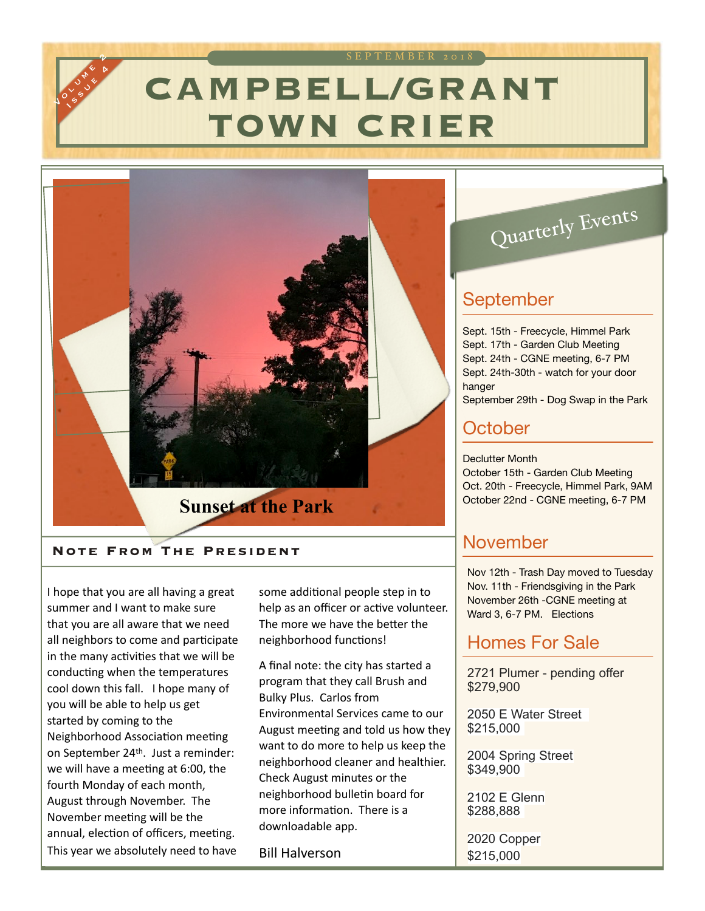# **CAMPBELL/GRANT TOWN CRIER** SEPTEMBER 2018



#### **Note From The President**

Journey of **USSUE B** 

I hope that you are all having a great summer and I want to make sure that you are all aware that we need all neighbors to come and participate in the many activities that we will be conducting when the temperatures cool down this fall. I hope many of you will be able to help us get started by coming to the Neighborhood Association meeting on September 24<sup>th</sup>. Just a reminder: we will have a meeting at 6:00, the fourth Monday of each month, August through November. The November meeting will be the annual, election of officers, meeting. This year we absolutely need to have

some additional people step in to help as an officer or active volunteer. The more we have the better the neighborhood functions!

A final note: the city has started a program that they call Brush and **Bulky Plus. Carlos from** Environmental Services came to our August meeting and told us how they want to do more to help us keep the neighborhood cleaner and healthier. Check August minutes or the neighborhood bulletin board for more information. There is a downloadable app.

**Bill Halverson** 

# Quarterly Events

### September

Sept. 15th - Freecycle, Himmel Park Sept. 17th - Garden Club Meeting Sept. 24th - CGNE meeting, 6-7 PM Sept. 24th-30th - watch for your door hanger September 29th - Dog Swap in the Park

### **October**

Declutter Month October 15th - Garden Club Meeting Oct. 20th - Freecycle, Himmel Park, 9AM October 22nd - CGNE meeting, 6-7 PM

## November

Nov 12th - Trash Day moved to Tuesday Nov. 11th - Friendsgiving in the Park November 26th -CGNE meeting at Ward 3, 6-7 PM. Elections

#### Homes For Sale

2721 Plumer - pending offer \$279,900

2050 E Water Street \$215,000

2004 Spring Street \$349,900

2102 E Glenn \$288,888

2020 Copper \$215,000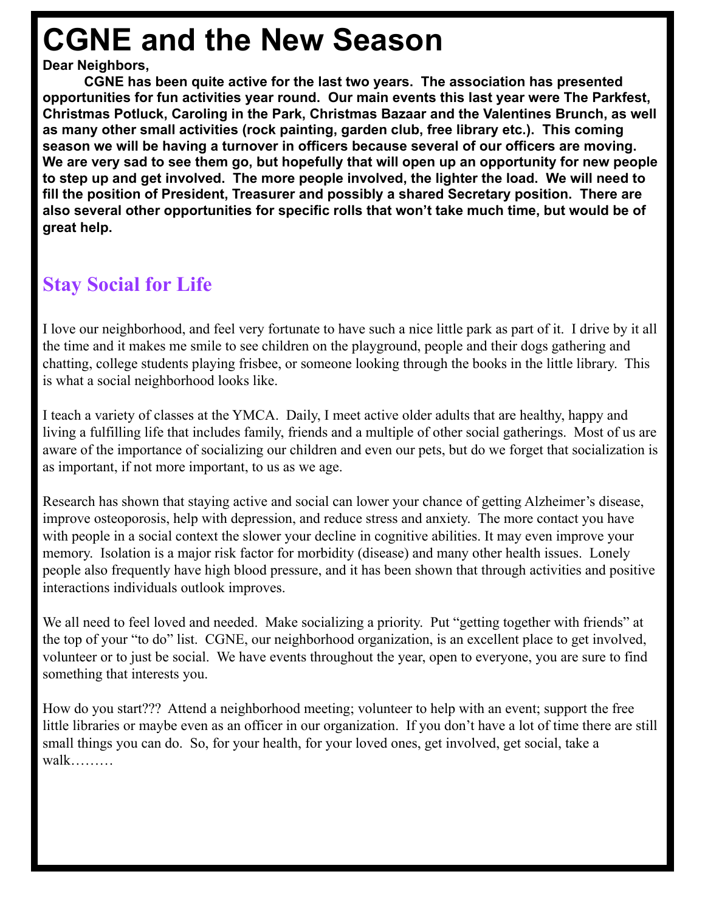# **CGNE and the New Season**

#### **Dear Neighbors,**

 **CGNE has been quite active for the last two years. The association has presented opportunities for fun activities year round. Our main events this last year were The Parkfest, Christmas Potluck, Caroling in the Park, Christmas Bazaar and the Valentines Brunch, as well as many other small activities (rock painting, garden club, free library etc.). This coming season we will be having a turnover in officers because several of our officers are moving. We are very sad to see them go, but hopefully that will open up an opportunity for new people to step up and get involved. The more people involved, the lighter the load. We will need to fill the position of President, Treasurer and possibly a shared Secretary position. There are also several other opportunities for specific rolls that won't take much time, but would be of great help.** 

# **Stay Social for Life**

I love our neighborhood, and feel very fortunate to have such a nice little park as part of it. I drive by it all the time and it makes me smile to see children on the playground, people and their dogs gathering and chatting, college students playing frisbee, or someone looking through the books in the little library. This is what a social neighborhood looks like.

I teach a variety of classes at the YMCA. Daily, I meet active older adults that are healthy, happy and living a fulfilling life that includes family, friends and a multiple of other social gatherings. Most of us are aware of the importance of socializing our children and even our pets, but do we forget that socialization is as important, if not more important, to us as we age.

Research has shown that staying active and social can lower your chance of getting Alzheimer's disease, improve osteoporosis, help with depression, and reduce stress and anxiety. The more contact you have with people in a social context the slower your decline in cognitive abilities. It may even improve your memory. Isolation is a major risk factor for morbidity (disease) and many other health issues. Lonely people also frequently have high blood pressure, and it has been shown that through activities and positive interactions individuals outlook improves.

We all need to feel loved and needed. Make socializing a priority. Put "getting together with friends" at the top of your "to do" list. CGNE, our neighborhood organization, is an excellent place to get involved, volunteer or to just be social. We have events throughout the year, open to everyone, you are sure to find something that interests you.

How do you start??? Attend a neighborhood meeting; volunteer to help with an event; support the free little libraries or maybe even as an officer in our organization. If you don't have a lot of time there are still small things you can do. So, for your health, for your loved ones, get involved, get social, take a walk………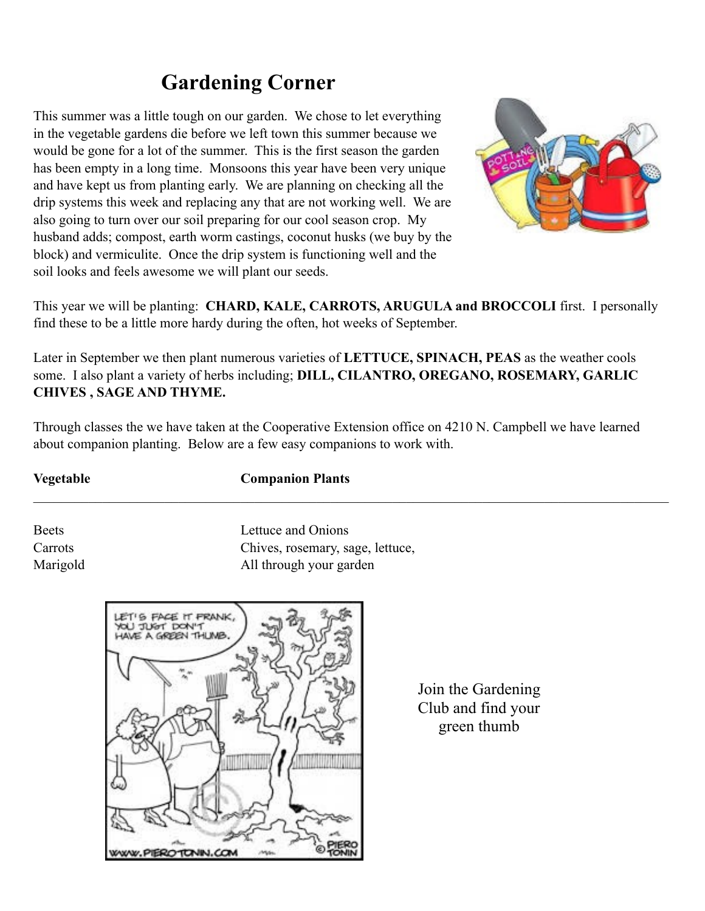# **Gardening Corner**

This summer was a little tough on our garden. We chose to let everything in the vegetable gardens die before we left town this summer because we would be gone for a lot of the summer. This is the first season the garden has been empty in a long time. Monsoons this year have been very unique and have kept us from planting early. We are planning on checking all the drip systems this week and replacing any that are not working well. We are also going to turn over our soil preparing for our cool season crop. My husband adds; compost, earth worm castings, coconut husks (we buy by the block) and vermiculite. Once the drip system is functioning well and the soil looks and feels awesome we will plant our seeds.



This year we will be planting: **CHARD, KALE, CARROTS, ARUGULA and BROCCOLI** first. I personally find these to be a little more hardy during the often, hot weeks of September.

Later in September we then plant numerous varieties of **LETTUCE, SPINACH, PEAS** as the weather cools some. I also plant a variety of herbs including; **DILL, CILANTRO, OREGANO, ROSEMARY, GARLIC CHIVES , SAGE AND THYME.**

Through classes the we have taken at the Cooperative Extension office on 4210 N. Campbell we have learned about companion planting. Below are a few easy companions to work with.

 $\_$  , and the contribution of the contribution of the contribution of the contribution of the contribution of  $\mathcal{L}_\text{max}$ 

#### **Vegetable Companion Plants**

Beets **Lettuce and Onions** Carrots Chives, rosemary, sage, lettuce, Marigold **All through your garden** 



Join the Gardening Club and find your green thumb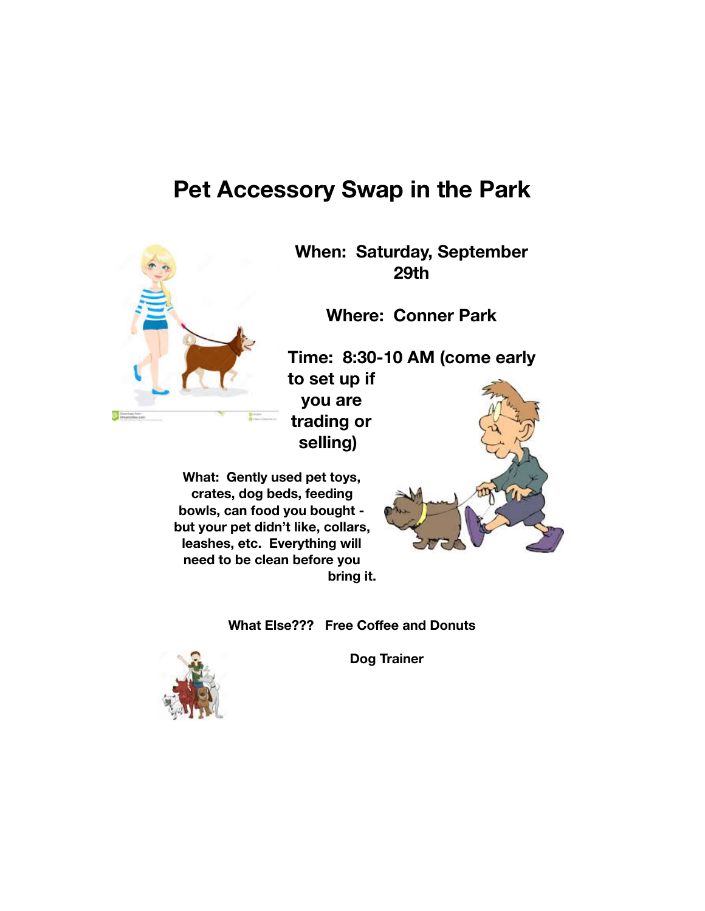# **Pet Accessory Swap in the Park**



**When: Saturday, September 29th** 

**Where: Conner Park** 

**Time: 8:30-10 AM (come early to set up if you are trading or** 

**What: Gently used pet toys, crates, dog beds, feeding bowls, can food you bought but your pet didn't like, collars, leashes, etc. Everything will need to be clean before you bring it.** 



**What Else??? Free Coffee and Donuts** 

**selling)** 

**Dog Trainer** 

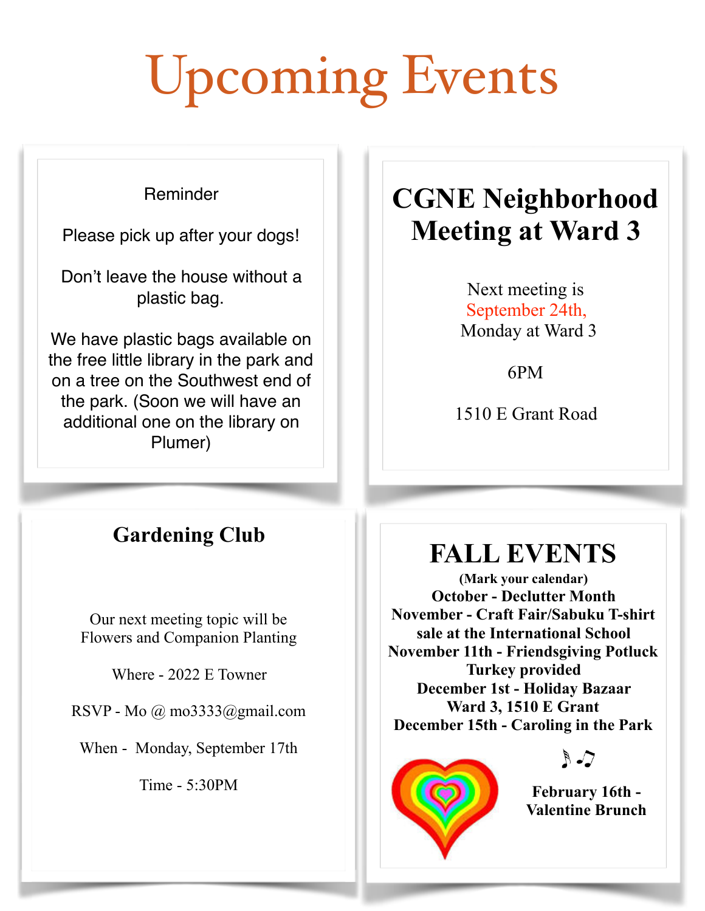# Upcoming Events

#### Reminder

Please pick up after your dogs!

Don't leave the house without a plastic bag.

We have plastic bags available on the free little library in the park and on a tree on the Southwest end of the park. (Soon we will have an additional one on the library on Plumer)

# **CGNE Neighborhood Meeting at Ward 3**

Next meeting is September 24th, Monday at Ward 3

6PM

1510 E Grant Road

# **Gardening Club**

Our next meeting topic will be Flowers and Companion Planting

Where - 2022 E Towner

RSVP - Mo @ mo3333@gmail.com

When - Monday, September 17th

Time - 5:30PM

# **FALL EVENTS**

**(Mark your calendar) October - Declutter Month November - Craft Fair/Sabuku T-shirt sale at the International School November 11th - Friendsgiving Potluck Turkey provided December 1st - Holiday Bazaar Ward 3, 1510 E Grant December 15th - Caroling in the Park**



 $R - 7$ 

**February 16th - Valentine Brunch**